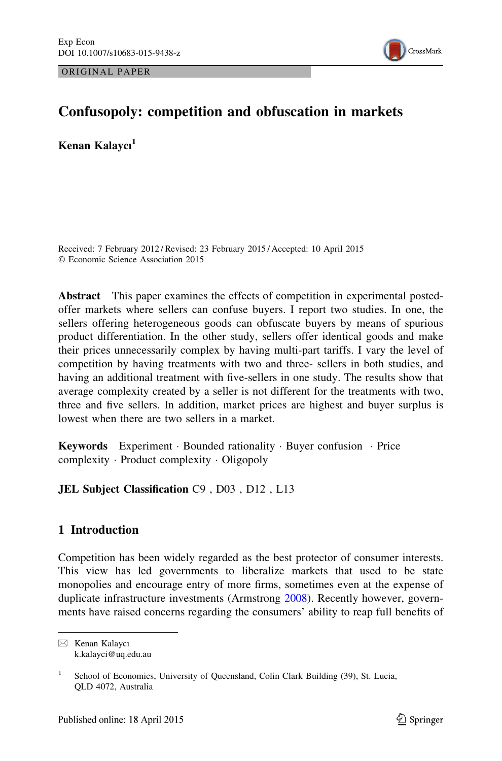ORIGINAL PAPER



# Confusopoly: competition and obfuscation in markets

Kenan Kalaycı<sup>1</sup>

Received: 7 February 2012 / Revised: 23 February 2015 / Accepted: 10 April 2015 © Economic Science Association 2015

Abstract This paper examines the effects of competition in experimental postedoffer markets where sellers can confuse buyers. I report two studies. In one, the sellers offering heterogeneous goods can obfuscate buyers by means of spurious product differentiation. In the other study, sellers offer identical goods and make their prices unnecessarily complex by having multi-part tariffs. I vary the level of competition by having treatments with two and three- sellers in both studies, and having an additional treatment with five-sellers in one study. The results show that average complexity created by a seller is not different for the treatments with two, three and five sellers. In addition, market prices are highest and buyer surplus is lowest when there are two sellers in a market.

Keywords Experiment · Bounded rationality · Buyer confusion · Price complexity - Product complexity - Oligopoly

### JEL Subject Classification C9, D03, D12, L13

### 1 Introduction

Competition has been widely regarded as the best protector of consumer interests. This view has led governments to liberalize markets that used to be state monopolies and encourage entry of more firms, sometimes even at the expense of duplicate infrastructure investments (Armstrong [2008](#page-16-0)). Recently however, governments have raised concerns regarding the consumers' ability to reap full benefits of

<sup>&</sup>amp; Kenan Kalaycı k.kalayci@uq.edu.au

<sup>&</sup>lt;sup>1</sup> School of Economics, University of Queensland, Colin Clark Building (39), St. Lucia, QLD 4072, Australia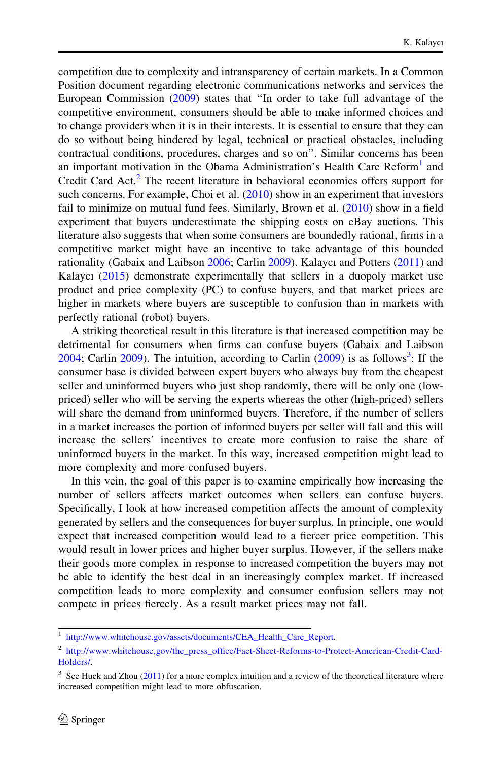competition due to complexity and intransparency of certain markets. In a Common Position document regarding electronic communications networks and services the European Commission ([2009](#page-17-0)) states that ''In order to take full advantage of the competitive environment, consumers should be able to make informed choices and to change providers when it is in their interests. It is essential to ensure that they can do so without being hindered by legal, technical or practical obstacles, including contractual conditions, procedures, charges and so on''. Similar concerns has been an important motivation in the Obama Administration's Health Care Reform<sup>1</sup> and Credit Card Act.<sup>2</sup> The recent literature in behavioral economics offers support for such concerns. For example, Choi et al.  $(2010)$  $(2010)$  show in an experiment that investors fail to minimize on mutual fund fees. Similarly, Brown et al. ([2010\)](#page-16-0) show in a field experiment that buyers underestimate the shipping costs on eBay auctions. This literature also suggests that when some consumers are boundedly rational, firms in a competitive market might have an incentive to take advantage of this bounded rationality (Gabaix and Laibson [2006;](#page-17-0) Carlin [2009\)](#page-16-0). Kalaycı and Potters ([2011\)](#page-17-0) and Kalaycı ([2015\)](#page-17-0) demonstrate experimentally that sellers in a duopoly market use product and price complexity (PC) to confuse buyers, and that market prices are higher in markets where buyers are susceptible to confusion than in markets with perfectly rational (robot) buyers.

A striking theoretical result in this literature is that increased competition may be detrimental for consumers when firms can confuse buyers (Gabaix and Laibson  $2004$ ; Carlin [2009](#page-16-0)). The intuition, according to Carlin [\(2009](#page-16-0)) is as follows<sup>3</sup>: If the consumer base is divided between expert buyers who always buy from the cheapest seller and uninformed buyers who just shop randomly, there will be only one (lowpriced) seller who will be serving the experts whereas the other (high-priced) sellers will share the demand from uninformed buyers. Therefore, if the number of sellers in a market increases the portion of informed buyers per seller will fall and this will increase the sellers' incentives to create more confusion to raise the share of uninformed buyers in the market. In this way, increased competition might lead to more complexity and more confused buyers.

In this vein, the goal of this paper is to examine empirically how increasing the number of sellers affects market outcomes when sellers can confuse buyers. Specifically, I look at how increased competition affects the amount of complexity generated by sellers and the consequences for buyer surplus. In principle, one would expect that increased competition would lead to a fiercer price competition. This would result in lower prices and higher buyer surplus. However, if the sellers make their goods more complex in response to increased competition the buyers may not be able to identify the best deal in an increasingly complex market. If increased competition leads to more complexity and consumer confusion sellers may not compete in prices fiercely. As a result market prices may not fall.

<sup>1</sup> [http://www.whitehouse.gov/assets/documents/CEA\\_Health\\_Care\\_Report](http://www.whitehouse.gov/assets/documents/CEA_Health_Care_Report).

<sup>2</sup> [http://www.whitehouse.gov/the\\_press\\_office/Fact-Sheet-Reforms-to-Protect-American-Credit-Card-](http://www.whitehouse.gov/the_press_office/Fact-Sheet-Reforms-to-Protect-American-Credit-Card-Holders/)[Holders/](http://www.whitehouse.gov/the_press_office/Fact-Sheet-Reforms-to-Protect-American-Credit-Card-Holders/).

 $3$  See Huck and Zhou [\(2011](#page-17-0)) for a more complex intuition and a review of the theoretical literature where increased competition might lead to more obfuscation.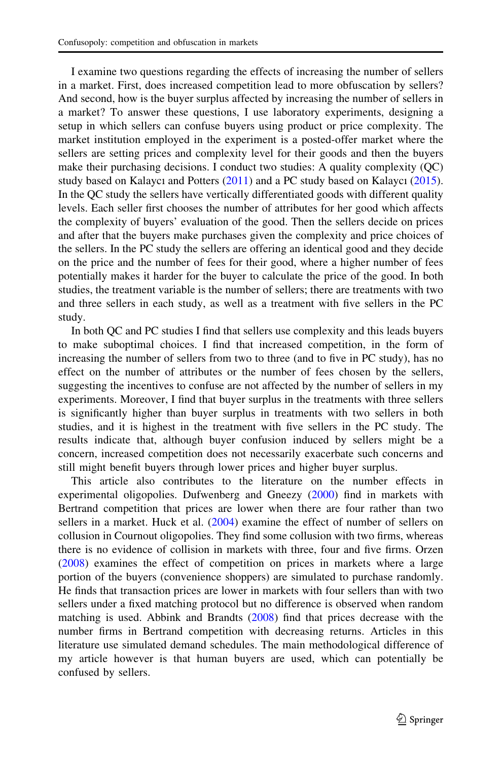I examine two questions regarding the effects of increasing the number of sellers in a market. First, does increased competition lead to more obfuscation by sellers? And second, how is the buyer surplus affected by increasing the number of sellers in a market? To answer these questions, I use laboratory experiments, designing a setup in which sellers can confuse buyers using product or price complexity. The market institution employed in the experiment is a posted-offer market where the sellers are setting prices and complexity level for their goods and then the buyers make their purchasing decisions. I conduct two studies: A quality complexity (QC) study based on Kalaycı and Potters [\(2011\)](#page-17-0) and a PC study based on Kalaycı ([2015\)](#page-17-0). In the QC study the sellers have vertically differentiated goods with different quality levels. Each seller first chooses the number of attributes for her good which affects the complexity of buyers' evaluation of the good. Then the sellers decide on prices and after that the buyers make purchases given the complexity and price choices of the sellers. In the PC study the sellers are offering an identical good and they decide on the price and the number of fees for their good, where a higher number of fees potentially makes it harder for the buyer to calculate the price of the good. In both studies, the treatment variable is the number of sellers; there are treatments with two and three sellers in each study, as well as a treatment with five sellers in the PC study.

In both QC and PC studies I find that sellers use complexity and this leads buyers to make suboptimal choices. I find that increased competition, in the form of increasing the number of sellers from two to three (and to five in PC study), has no effect on the number of attributes or the number of fees chosen by the sellers, suggesting the incentives to confuse are not affected by the number of sellers in my experiments. Moreover, I find that buyer surplus in the treatments with three sellers is significantly higher than buyer surplus in treatments with two sellers in both studies, and it is highest in the treatment with five sellers in the PC study. The results indicate that, although buyer confusion induced by sellers might be a concern, increased competition does not necessarily exacerbate such concerns and still might benefit buyers through lower prices and higher buyer surplus.

This article also contributes to the literature on the number effects in experimental oligopolies. Dufwenberg and Gneezy ([2000\)](#page-17-0) find in markets with Bertrand competition that prices are lower when there are four rather than two sellers in a market. Huck et al. [\(2004](#page-17-0)) examine the effect of number of sellers on collusion in Cournout oligopolies. They find some collusion with two firms, whereas there is no evidence of collision in markets with three, four and five firms. Orzen [\(2008](#page-17-0)) examines the effect of competition on prices in markets where a large portion of the buyers (convenience shoppers) are simulated to purchase randomly. He finds that transaction prices are lower in markets with four sellers than with two sellers under a fixed matching protocol but no difference is observed when random matching is used. Abbink and Brandts [\(2008](#page-16-0)) find that prices decrease with the number firms in Bertrand competition with decreasing returns. Articles in this literature use simulated demand schedules. The main methodological difference of my article however is that human buyers are used, which can potentially be confused by sellers.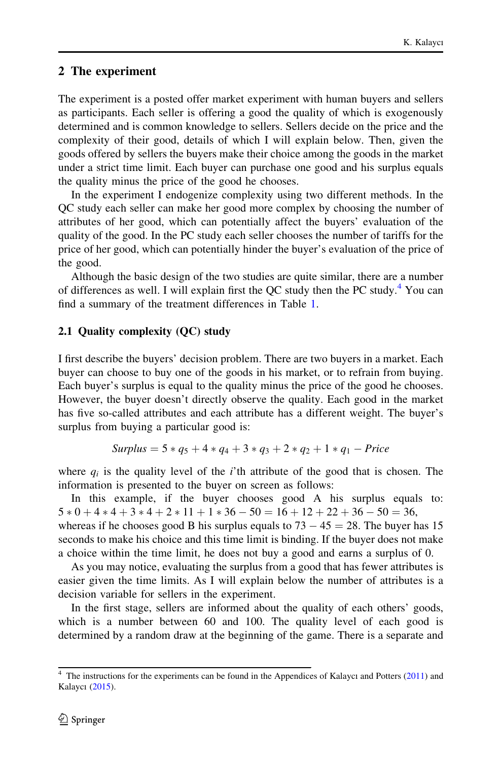#### 2 The experiment

The experiment is a posted offer market experiment with human buyers and sellers as participants. Each seller is offering a good the quality of which is exogenously determined and is common knowledge to sellers. Sellers decide on the price and the complexity of their good, details of which I will explain below. Then, given the goods offered by sellers the buyers make their choice among the goods in the market under a strict time limit. Each buyer can purchase one good and his surplus equals the quality minus the price of the good he chooses.

In the experiment I endogenize complexity using two different methods. In the QC study each seller can make her good more complex by choosing the number of attributes of her good, which can potentially affect the buyers' evaluation of the quality of the good. In the PC study each seller chooses the number of tariffs for the price of her good, which can potentially hinder the buyer's evaluation of the price of the good.

Although the basic design of the two studies are quite similar, there are a number of differences as well. I will explain first the QC study then the PC study. $4$  You can find a summary of the treatment differences in Table [1.](#page-4-0)

#### 2.1 Quality complexity (QC) study

I first describe the buyers' decision problem. There are two buyers in a market. Each buyer can choose to buy one of the goods in his market, or to refrain from buying. Each buyer's surplus is equal to the quality minus the price of the good he chooses. However, the buyer doesn't directly observe the quality. Each good in the market has five so-called attributes and each attribute has a different weight. The buyer's surplus from buying a particular good is:

$$
Surplus = 5 * q_5 + 4 * q_4 + 3 * q_3 + 2 * q_2 + 1 * q_1 - Price
$$

where  $q_i$  is the quality level of the *i*'th attribute of the good that is chosen. The information is presented to the buyer on screen as follows:

In this example, if the buyer chooses good A his surplus equals to:  $5 * 0 + 4 * 4 + 3 * 4 + 2 * 11 + 1 * 36 - 50 = 16 + 12 + 22 + 36 - 50 = 36,$ whereas if he chooses good B his surplus equals to  $73 - 45 = 28$ . The buyer has 15 seconds to make his choice and this time limit is binding. If the buyer does not make a choice within the time limit, he does not buy a good and earns a surplus of 0.

As you may notice, evaluating the surplus from a good that has fewer attributes is easier given the time limits. As I will explain below the number of attributes is a decision variable for sellers in the experiment.

In the first stage, sellers are informed about the quality of each others' goods, which is a number between 60 and 100. The quality level of each good is determined by a random draw at the beginning of the game. There is a separate and

<sup>4</sup> The instructions for the experiments can be found in the Appendices of Kalaycı and Potters [\(2011](#page-17-0)) and Kalaycı [\(2015](#page-17-0)).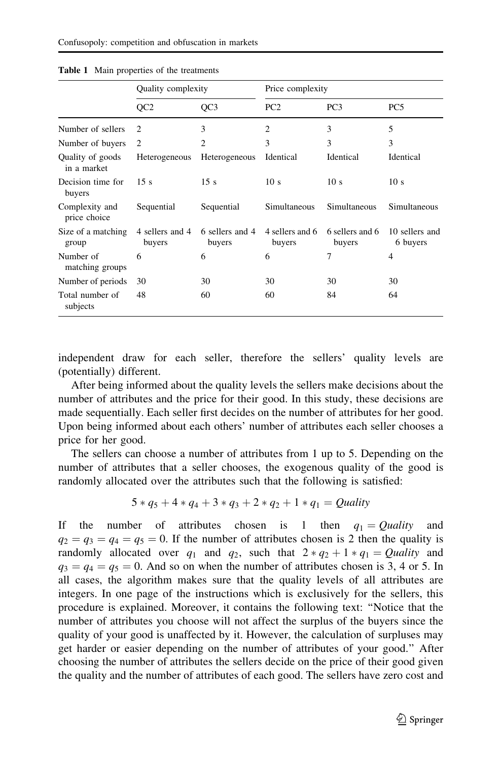|                                 | Quality complexity        |                           | Price complexity          |                           |                            |
|---------------------------------|---------------------------|---------------------------|---------------------------|---------------------------|----------------------------|
|                                 | QC <sub>2</sub>           | QC <sub>3</sub>           | PC <sub>2</sub>           | PC <sub>3</sub>           | PC <sub>5</sub>            |
| Number of sellers               | 2                         | 3                         | $\overline{2}$            | 3                         | 5                          |
| Number of buyers                | 2                         | 2                         | 3                         | 3                         | 3                          |
| Quality of goods<br>in a market | Heterogeneous             | Heterogeneous             | Identical                 | Identical                 | Identical                  |
| Decision time for<br>buyers     | 15 <sub>s</sub>           | 15 <sub>s</sub>           | 10 <sub>s</sub>           | 10 <sub>s</sub>           | 10 <sub>s</sub>            |
| Complexity and<br>price choice  | Sequential                | Sequential                | Simultaneous              | Simultaneous              | Simultaneous               |
| Size of a matching<br>group     | 4 sellers and 4<br>buyers | 6 sellers and 4<br>buyers | 4 sellers and 6<br>buyers | 6 sellers and 6<br>buyers | 10 sellers and<br>6 buyers |
| Number of<br>matching groups    | 6                         | 6                         | 6                         | 7                         | 4                          |
| Number of periods               | 30                        | 30                        | 30                        | 30                        | 30                         |
| Total number of<br>subjects     | 48                        | 60                        | 60                        | 84                        | 64                         |

<span id="page-4-0"></span>Table 1 Main properties of the treatments

independent draw for each seller, therefore the sellers' quality levels are (potentially) different.

After being informed about the quality levels the sellers make decisions about the number of attributes and the price for their good. In this study, these decisions are made sequentially. Each seller first decides on the number of attributes for her good. Upon being informed about each others' number of attributes each seller chooses a price for her good.

The sellers can choose a number of attributes from 1 up to 5. Depending on the number of attributes that a seller chooses, the exogenous quality of the good is randomly allocated over the attributes such that the following is satisfied:

$$
5 * q_5 + 4 * q_4 + 3 * q_3 + 2 * q_2 + 1 * q_1 = Quality
$$

If the number of attributes chosen is 1 then  $q_1 = Quality$  and  $q_2 = q_3 = q_4 = q_5 = 0$ . If the number of attributes chosen is 2 then the quality is randomly allocated over  $q_1$  and  $q_2$ , such that  $2 * q_2 + 1 * q_1 = Quality$  and  $q_3 = q_4 = q_5 = 0$ . And so on when the number of attributes chosen is 3, 4 or 5. In all cases, the algorithm makes sure that the quality levels of all attributes are integers. In one page of the instructions which is exclusively for the sellers, this procedure is explained. Moreover, it contains the following text: ''Notice that the number of attributes you choose will not affect the surplus of the buyers since the quality of your good is unaffected by it. However, the calculation of surpluses may get harder or easier depending on the number of attributes of your good.'' After choosing the number of attributes the sellers decide on the price of their good given the quality and the number of attributes of each good. The sellers have zero cost and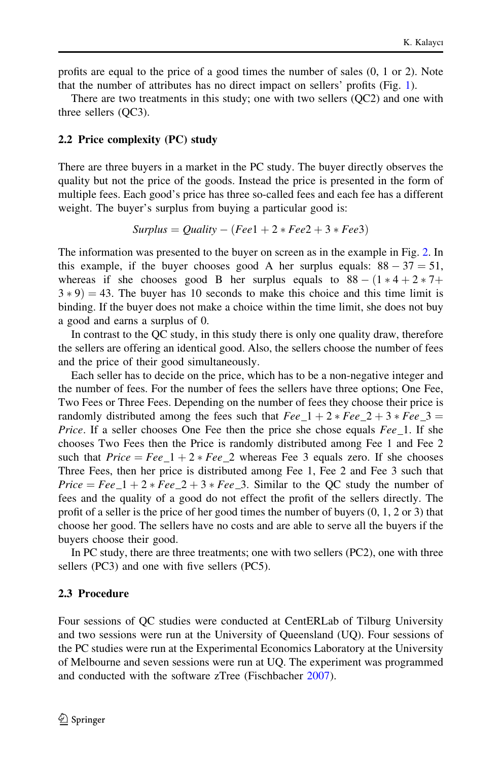profits are equal to the price of a good times the number of sales (0, 1 or 2). Note that the number of attributes has no direct impact on sellers' profits (Fig. [1\)](#page-6-0).

There are two treatments in this study; one with two sellers (QC2) and one with three sellers (QC3).

#### 2.2 Price complexity (PC) study

There are three buyers in a market in the PC study. The buyer directly observes the quality but not the price of the goods. Instead the price is presented in the form of multiple fees. Each good's price has three so-called fees and each fee has a different weight. The buyer's surplus from buying a particular good is:

$$
Surplus = Quality - (Fee1 + 2 * Fee2 + 3 * Fee3)
$$

The information was presented to the buyer on screen as in the example in Fig. [2](#page-6-0). In this example, if the buyer chooses good A her surplus equals:  $88 - 37 = 51$ , whereas if she chooses good B her surplus equals to  $88 - (1 \times 4 + 2 \times 7 + 1)$  $3 \times 9 = 43$ . The buyer has 10 seconds to make this choice and this time limit is binding. If the buyer does not make a choice within the time limit, she does not buy a good and earns a surplus of 0.

In contrast to the QC study, in this study there is only one quality draw, therefore the sellers are offering an identical good. Also, the sellers choose the number of fees and the price of their good simultaneously.

Each seller has to decide on the price, which has to be a non-negative integer and the number of fees. For the number of fees the sellers have three options; One Fee, Two Fees or Three Fees. Depending on the number of fees they choose their price is randomly distributed among the fees such that  $Fee_1 + 2*Fee_2 + 3*Fee_3 =$ *Price.* If a seller chooses One Fee then the price she chose equals  $Fee$ <sub>1</sub>. If she chooses Two Fees then the Price is randomly distributed among Fee 1 and Fee 2 such that  $Price = Free_1 + 2 * Free_2$  whereas Fee 3 equals zero. If she chooses Three Fees, then her price is distributed among Fee 1, Fee 2 and Fee 3 such that *Price* =  $\text{Fee}_1 + 2 \cdot \text{Fee}_2 + 3 \cdot \text{Fee}_3$ . Similar to the QC study the number of fees and the quality of a good do not effect the profit of the sellers directly. The profit of a seller is the price of her good times the number of buyers (0, 1, 2 or 3) that choose her good. The sellers have no costs and are able to serve all the buyers if the buyers choose their good.

In PC study, there are three treatments; one with two sellers (PC2), one with three sellers (PC3) and one with five sellers (PC5).

#### 2.3 Procedure

Four sessions of QC studies were conducted at CentERLab of Tilburg University and two sessions were run at the University of Queensland (UQ). Four sessions of the PC studies were run at the Experimental Economics Laboratory at the University of Melbourne and seven sessions were run at UQ. The experiment was programmed and conducted with the software zTree (Fischbacher [2007\)](#page-17-0).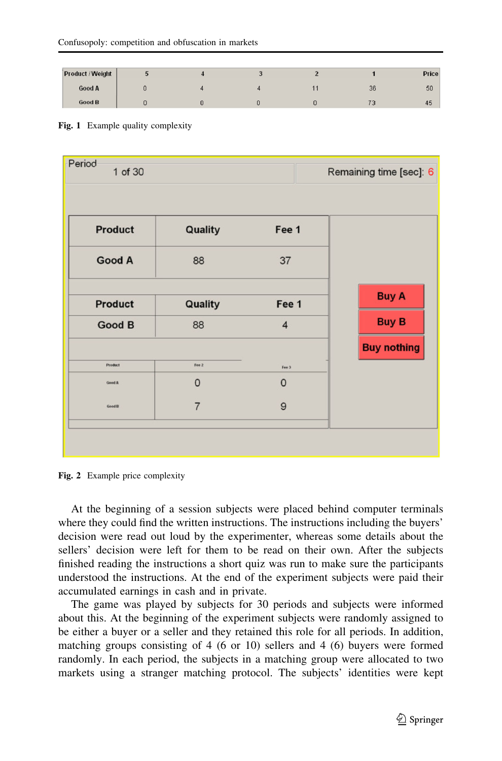<span id="page-6-0"></span>

| Product / Weight |  |  |    | Price |
|------------------|--|--|----|-------|
| Good A           |  |  | 36 | 50    |
| <b>Good B</b>    |  |  |    | 45    |

Fig. 1 Example quality complexity

| Period<br>1 of 30 |                |                | Remaining time [sec]: 6 |
|-------------------|----------------|----------------|-------------------------|
|                   |                |                |                         |
| <b>Product</b>    | Quality        | Fee 1          |                         |
| Good A            | 88             | 37             |                         |
|                   |                |                | <b>Buy A</b>            |
| <b>Product</b>    | Quality        | Fee 1          |                         |
| Good B            | 88             | $\overline{4}$ | <b>Buy B</b>            |
|                   |                |                | <b>Buy nothing</b>      |
| Product           | Fee 2          | Fee 3          |                         |
| Good A            | $\Omega$       | $\Omega$       |                         |
| Good B            | $\overline{7}$ | $\mathbf{9}$   |                         |
|                   |                |                |                         |

Fig. 2 Example price complexity

At the beginning of a session subjects were placed behind computer terminals where they could find the written instructions. The instructions including the buyers' decision were read out loud by the experimenter, whereas some details about the sellers' decision were left for them to be read on their own. After the subjects finished reading the instructions a short quiz was run to make sure the participants understood the instructions. At the end of the experiment subjects were paid their accumulated earnings in cash and in private.

The game was played by subjects for 30 periods and subjects were informed about this. At the beginning of the experiment subjects were randomly assigned to be either a buyer or a seller and they retained this role for all periods. In addition, matching groups consisting of 4 (6 or 10) sellers and 4 (6) buyers were formed randomly. In each period, the subjects in a matching group were allocated to two markets using a stranger matching protocol. The subjects' identities were kept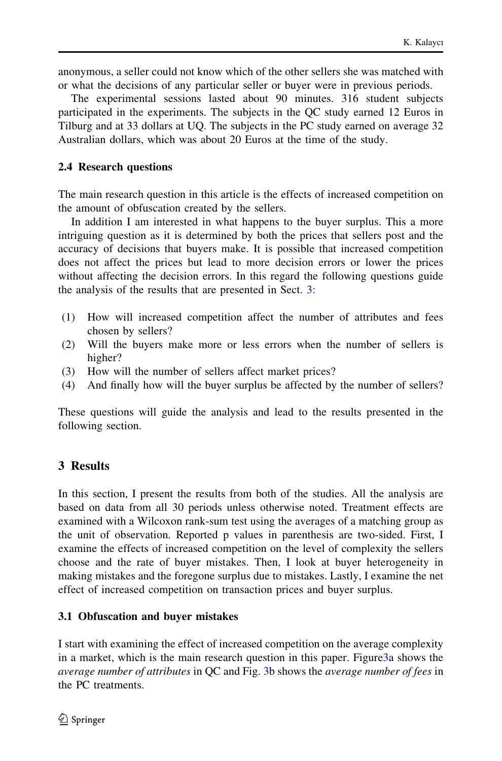anonymous, a seller could not know which of the other sellers she was matched with or what the decisions of any particular seller or buyer were in previous periods.

The experimental sessions lasted about 90 minutes. 316 student subjects participated in the experiments. The subjects in the QC study earned 12 Euros in Tilburg and at 33 dollars at UQ. The subjects in the PC study earned on average 32 Australian dollars, which was about 20 Euros at the time of the study.

### 2.4 Research questions

The main research question in this article is the effects of increased competition on the amount of obfuscation created by the sellers.

In addition I am interested in what happens to the buyer surplus. This a more intriguing question as it is determined by both the prices that sellers post and the accuracy of decisions that buyers make. It is possible that increased competition does not affect the prices but lead to more decision errors or lower the prices without affecting the decision errors. In this regard the following questions guide the analysis of the results that are presented in Sect. 3:

- (1) How will increased competition affect the number of attributes and fees chosen by sellers?
- (2) Will the buyers make more or less errors when the number of sellers is higher?
- (3) How will the number of sellers affect market prices?
- (4) And finally how will the buyer surplus be affected by the number of sellers?

These questions will guide the analysis and lead to the results presented in the following section.

# 3 Results

In this section, I present the results from both of the studies. All the analysis are based on data from all 30 periods unless otherwise noted. Treatment effects are examined with a Wilcoxon rank-sum test using the averages of a matching group as the unit of observation. Reported p values in parenthesis are two-sided. First, I examine the effects of increased competition on the level of complexity the sellers choose and the rate of buyer mistakes. Then, I look at buyer heterogeneity in making mistakes and the foregone surplus due to mistakes. Lastly, I examine the net effect of increased competition on transaction prices and buyer surplus.

# 3.1 Obfuscation and buyer mistakes

I start with examining the effect of increased competition on the average complexity in a market, which is the main research question in this paper. Figur[e3](#page-8-0)a shows the average number of attributes in QC and Fig. [3b](#page-8-0) shows the average number of fees in the PC treatments.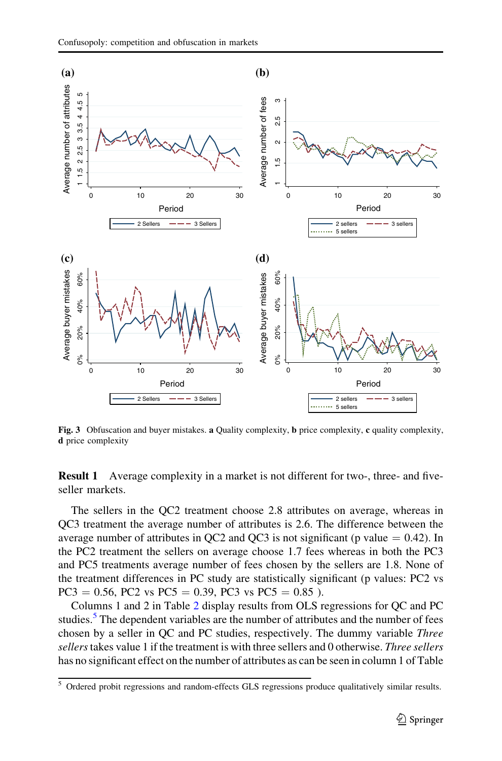<span id="page-8-0"></span>

Fig. 3 Obfuscation and buyer mistakes. a Quality complexity, b price complexity, c quality complexity, d price complexity

Result 1 Average complexity in a market is not different for two-, three- and fiveseller markets.

The sellers in the QC2 treatment choose 2.8 attributes on average, whereas in QC3 treatment the average number of attributes is 2.6. The difference between the average number of attributes in QC2 and QC3 is not significant (p value  $= 0.42$ ). In the PC2 treatment the sellers on average choose 1.7 fees whereas in both the PC3 and PC5 treatments average number of fees chosen by the sellers are 1.8. None of the treatment differences in PC study are statistically significant (p values: PC2 vs  $PC3 = 0.56$ ,  $PC2$  vs  $PC5 = 0.39$ ,  $PC3$  vs  $PC5 = 0.85$ ).

Columns 1 and 2 in Table [2](#page-9-0) display results from OLS regressions for QC and PC studies.<sup>5</sup> The dependent variables are the number of attributes and the number of fees chosen by a seller in QC and PC studies, respectively. The dummy variable Three sellers takes value 1 if the treatment is with three sellers and 0 otherwise. Three sellers has no significant effect on the number of attributes as can be seen in column 1 of Table

<sup>5</sup> Ordered probit regressions and random-effects GLS regressions produce qualitatively similar results.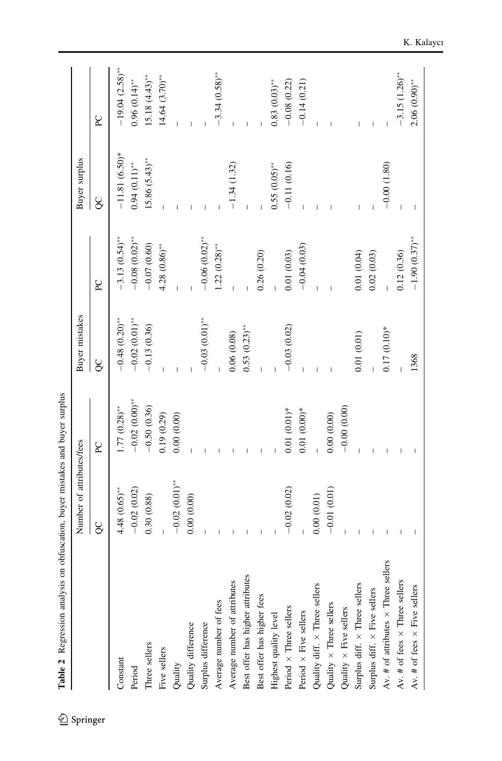<span id="page-9-0"></span>

| Table 2 Regression analysis on obfuscation, buyer mistakes and buyer surplus | Number of attributes/fees |                                | Buyer mistakes   |                                | Buyer surplus    |                   |
|------------------------------------------------------------------------------|---------------------------|--------------------------------|------------------|--------------------------------|------------------|-------------------|
|                                                                              | QC                        | PC                             | QC               | PC                             | QC               | PC                |
| Constant                                                                     | $4.48(0.65)$ **           | $1.77(0.28)$ **                | $-0.48(0.20)$ ** | $-3.13(0.54)$ **               | $-11.81(6.50)$ * | $-19.04(2.58)$ ** |
| Period                                                                       | $-0.02(0.02)$             | $-0.02$ $(0.00)$ <sup>**</sup> | $-0.02(0.01)$ ** | $-0.08$ $(0.02)$ <sup>**</sup> | $0.94(0.11)$ **  | $0.96(0.14)$ **   |
| Three sellers                                                                | 0.30(0.88)                | $-0.50(0.36)$                  | $-0.13(0.36)$    | $-0.07(0.60)$                  | $15.86(5.43)$ ** | $(5.18 (4.43)$ ** |
| Five sellers                                                                 |                           | 0.19(0.29)                     |                  | $4.28(0.86)$ **                |                  | $14.64 (3.70)$ ** |
| Quality                                                                      | $-0.02(0.01)$ **          | 0.00(0.00)                     |                  |                                |                  |                   |
| Quality difference                                                           | 0.00(0.00)                |                                |                  |                                |                  |                   |
| Surplus difference                                                           |                           |                                | $-0.03(0.01)$ ** | $-0.06(0.02)$ **               |                  |                   |
| Average number of fees                                                       |                           |                                |                  | $1.22(0.28)$ **                |                  | $-3.34(0.58)$ **  |
| Average number of attributes                                                 |                           |                                | 0.06(0.08)       |                                | $-1.34(1.32)$    |                   |
| Best offer has higher attributes                                             |                           |                                | $0.53(0.23)$ **  |                                |                  |                   |
| Best offer has higher fees                                                   |                           |                                |                  | 0.26(0.20)                     |                  |                   |
| Highest quality level                                                        |                           |                                |                  |                                | $0.55(0.05)$ **  | $0.83(0.03)$ **   |
| Period $\times$ Three sellers                                                | $-0.02(0.02)$             | $0.01(0.01)$ *                 | $-0.03(0.02)$    | 0.01(0.03)                     | $-0.11(0.16)$    | $-0.08(0.22)$     |
| $\text{Period}\,\times\,\text{Five sellers}$                                 |                           | $0.01(0.00)*$                  |                  | $-0.04(0.03)$                  |                  | $-0.14(0.21)$     |
| Quality diff. $\times$ Three sellers                                         | 0.00(0.01)                |                                |                  |                                |                  |                   |
| Quality $\times$ Three sellers                                               | $-0.01(0.01)$             | 0.00(0.00)                     |                  |                                |                  |                   |
| Quality $\times$ Five sellers                                                |                           | $-0.00(0.00)$                  |                  |                                |                  |                   |
| Surplus diff. $\times$ Three sellers                                         |                           |                                | 0.01(0.01)       | 0.01(0.04)                     |                  |                   |
| Surplus diff. x Five sellers                                                 |                           |                                |                  | 0.02(0.03)                     |                  |                   |
| Av. # of attributes $\times$ Three sellers                                   |                           |                                | $0.17(0.10)$ *   |                                | $-0.00(1.80)$    |                   |
| Av. # of fees $\times$ Three sellers                                         |                           |                                |                  | 0.12(0.36)                     |                  | $-3.15(1.26)$ **  |
| Av. # of fees $\times$ Five sellers                                          |                           |                                | 1368             | $-1.90(0.37)$ **               |                  | $2.06(0.90)$ **   |
|                                                                              |                           |                                |                  |                                |                  |                   |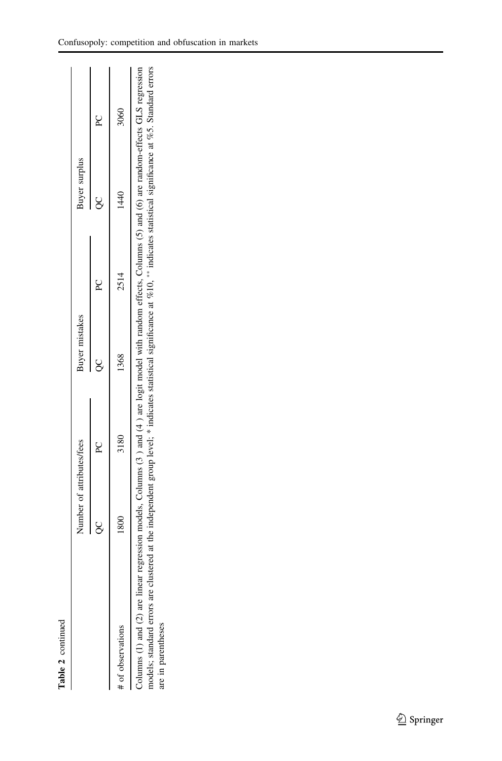Table 2 continued Table 2 continued

|                                                                                                                                                                                                                                             | Number of attributes/fees |      | Buyer mistakes |      | Buyer surplus |                                                                                                                                   |
|---------------------------------------------------------------------------------------------------------------------------------------------------------------------------------------------------------------------------------------------|---------------------------|------|----------------|------|---------------|-----------------------------------------------------------------------------------------------------------------------------------|
|                                                                                                                                                                                                                                             |                           |      |                |      |               |                                                                                                                                   |
| # of observations                                                                                                                                                                                                                           | $\frac{800}{2}$           | 3180 | 1368           | 2514 | 1440          | 3060                                                                                                                              |
| nodels; standard errors are clustered at the independent group level; * indicates statistical significance at %10, ** indicates statistical significance at %5. Standard errors<br>Columns $(1)$ and $(2)$ are linear<br>are in parentheses |                           |      |                |      |               | regression models, Columns (3) and (4) are logit model with random effects, Columns (5) and (6) are random-effects GLS regression |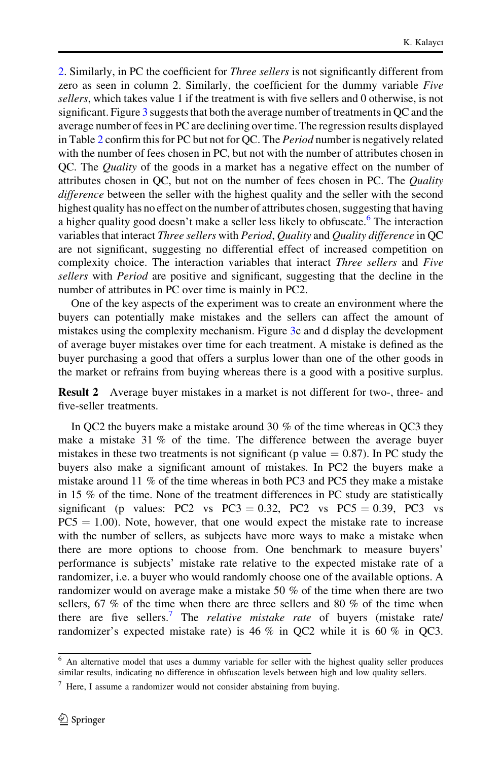[2](#page-9-0). Similarly, in PC the coefficient for Three sellers is not significantly different from zero as seen in column 2. Similarly, the coefficient for the dummy variable Five sellers, which takes value 1 if the treatment is with five sellers and 0 otherwise, is not significant. Figure [3](#page-8-0) suggests that both the average number of treatments in QC and the average number of fees in PC are declining over time. The regression results displayed in Table [2](#page-9-0) confirm this for PC but not for QC. The *Period* number is negatively related with the number of fees chosen in PC, but not with the number of attributes chosen in QC. The Quality of the goods in a market has a negative effect on the number of attributes chosen in QC, but not on the number of fees chosen in PC. The Quality difference between the seller with the highest quality and the seller with the second highest quality has no effect on the number of attributes chosen, suggesting that having a higher quality good doesn't make a seller less likely to obfuscate.<sup>6</sup> The interaction variables that interact Three sellers with Period, Quality and Quality difference in QC are not significant, suggesting no differential effect of increased competition on complexity choice. The interaction variables that interact *Three sellers* and *Five* sellers with Period are positive and significant, suggesting that the decline in the number of attributes in PC over time is mainly in PC2.

One of the key aspects of the experiment was to create an environment where the buyers can potentially make mistakes and the sellers can affect the amount of mistakes using the complexity mechanism. Figure [3](#page-8-0)c and d display the development of average buyer mistakes over time for each treatment. A mistake is defined as the buyer purchasing a good that offers a surplus lower than one of the other goods in the market or refrains from buying whereas there is a good with a positive surplus.

Result 2 Average buyer mistakes in a market is not different for two-, three- and five-seller treatments.

In QC2 the buyers make a mistake around 30 % of the time whereas in QC3 they make a mistake 31 % of the time. The difference between the average buyer mistakes in these two treatments is not significant (p value  $= 0.87$ ). In PC study the buyers also make a significant amount of mistakes. In PC2 the buyers make a mistake around 11 % of the time whereas in both PC3 and PC5 they make a mistake in 15  $%$  of the time. None of the treatment differences in PC study are statistically significant (p values: PC2 vs  $PC3 = 0.32$ , PC2 vs  $PC5 = 0.39$ , PC3 vs  $PC5 = 1.00$ ). Note, however, that one would expect the mistake rate to increase with the number of sellers, as subjects have more ways to make a mistake when there are more options to choose from. One benchmark to measure buyers' performance is subjects' mistake rate relative to the expected mistake rate of a randomizer, i.e. a buyer who would randomly choose one of the available options. A randomizer would on average make a mistake 50 % of the time when there are two sellers, 67 % of the time when there are three sellers and 80 % of the time when there are five sellers.<sup>7</sup> The *relative mistake rate* of buyers (mistake rate/ randomizer's expected mistake rate) is 46 % in QC2 while it is 60 % in QC3.

<sup>&</sup>lt;sup>6</sup> An alternative model that uses a dummy variable for seller with the highest quality seller produces similar results, indicating no difference in obfuscation levels between high and low quality sellers.

 $7$  Here, I assume a randomizer would not consider abstaining from buying.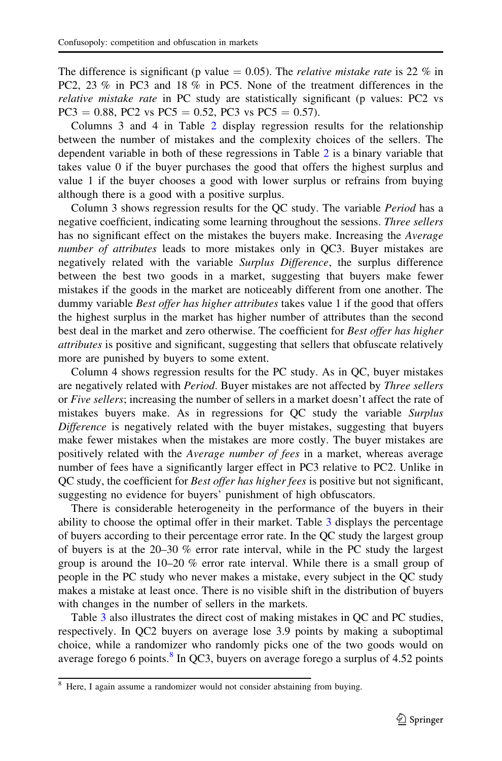The difference is significant (p value  $= 0.05$ ). The *relative mistake rate* is 22 % in PC2, 23 % in PC3 and 18 % in PC5. None of the treatment differences in the relative mistake rate in PC study are statistically significant (p values: PC2 vs  $PC3 = 0.88$ ,  $PC2$  vs  $PC5 = 0.52$ ,  $PC3$  vs  $PC5 = 0.57$ ).

Columns 3 and 4 in Table [2](#page-9-0) display regression results for the relationship between the number of mistakes and the complexity choices of the sellers. The dependent variable in both of these regressions in Table [2](#page-9-0) is a binary variable that takes value 0 if the buyer purchases the good that offers the highest surplus and value 1 if the buyer chooses a good with lower surplus or refrains from buying although there is a good with a positive surplus.

Column 3 shows regression results for the QC study. The variable Period has a negative coefficient, indicating some learning throughout the sessions. Three sellers has no significant effect on the mistakes the buyers make. Increasing the *Average* number of attributes leads to more mistakes only in QC3. Buyer mistakes are negatively related with the variable Surplus Difference, the surplus difference between the best two goods in a market, suggesting that buyers make fewer mistakes if the goods in the market are noticeably different from one another. The dummy variable Best offer has higher attributes takes value 1 if the good that offers the highest surplus in the market has higher number of attributes than the second best deal in the market and zero otherwise. The coefficient for Best offer has higher attributes is positive and significant, suggesting that sellers that obfuscate relatively more are punished by buyers to some extent.

Column 4 shows regression results for the PC study. As in QC, buyer mistakes are negatively related with Period. Buyer mistakes are not affected by Three sellers or *Five sellers*; increasing the number of sellers in a market doesn't affect the rate of mistakes buyers make. As in regressions for QC study the variable Surplus Difference is negatively related with the buyer mistakes, suggesting that buyers make fewer mistakes when the mistakes are more costly. The buyer mistakes are positively related with the Average number of fees in a market, whereas average number of fees have a significantly larger effect in PC3 relative to PC2. Unlike in QC study, the coefficient for Best offer has higher fees is positive but not significant, suggesting no evidence for buyers' punishment of high obfuscators.

There is considerable heterogeneity in the performance of the buyers in their ability to choose the optimal offer in their market. Table [3](#page-13-0) displays the percentage of buyers according to their percentage error rate. In the QC study the largest group of buyers is at the 20–30 % error rate interval, while in the PC study the largest group is around the 10–20 % error rate interval. While there is a small group of people in the PC study who never makes a mistake, every subject in the QC study makes a mistake at least once. There is no visible shift in the distribution of buyers with changes in the number of sellers in the markets.

Table [3](#page-13-0) also illustrates the direct cost of making mistakes in QC and PC studies, respectively. In QC2 buyers on average lose 3.9 points by making a suboptimal choice, while a randomizer who randomly picks one of the two goods would on average forego 6 points.<sup>8</sup> In QC3, buyers on average forego a surplus of 4.52 points

<sup>8</sup> Here, I again assume a randomizer would not consider abstaining from buying.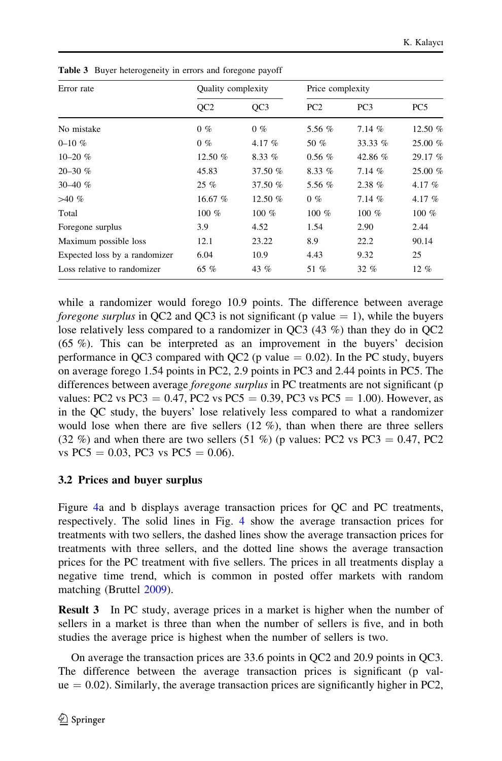| Error rate                    | Quality complexity |                 | Price complexity |                 |                 |
|-------------------------------|--------------------|-----------------|------------------|-----------------|-----------------|
|                               | QC <sub>2</sub>    | QC <sub>3</sub> | PC <sub>2</sub>  | PC <sub>3</sub> | PC <sub>5</sub> |
| No mistake                    | $0\%$              | $0\%$           | 5.56 %           | 7.14%           | 12.50 %         |
| $0 - 10 \%$                   | $0\%$              | 4.17 $%$        | 50 %             | 33.33 %         | 25.00 %         |
| $10 - 20 \%$                  | 12.50 %            | $8.33\%$        | $0.56\%$         | 42.86 %         | 29.17 %         |
| $20 - 30 \%$                  | 45.83              | 37.50%          | $8.33\%$         | $7.14\%$        | 25.00 %         |
| 30–40 $%$                     | $25\%$             | 37.50 %         | 5.56 %           | $2.38\%$        | 4.17 $%$        |
| >40%                          | 16.67%             | 12.50 %         | $0\%$            | 7.14%           | 4.17 $%$        |
| Total                         | $100\%$            | $100\%$         | $100\%$          | 100 %           | $100\%$         |
| Foregone surplus              | 3.9                | 4.52            | 1.54             | 2.90            | 2.44            |
| Maximum possible loss         | 12.1               | 23.22           | 8.9              | 22.2            | 90.14           |
| Expected loss by a randomizer | 6.04               | 10.9            | 4.43             | 9.32            | 25              |
| Loss relative to randomizer   | 65 %               | 43 %            | 51 %             | 32%             | 12 %            |

<span id="page-13-0"></span>Table 3 Buyer heterogeneity in errors and foregone payoff

while a randomizer would forego 10.9 points. The difference between average *foregone surplus* in QC2 and QC3 is not significant (p value  $= 1$ ), while the buyers lose relatively less compared to a randomizer in QC3 (43 %) than they do in QC2 (65 %). This can be interpreted as an improvement in the buyers' decision performance in QC3 compared with QC2 (p value  $= 0.02$ ). In the PC study, buyers on average forego 1.54 points in PC2, 2.9 points in PC3 and 2.44 points in PC5. The differences between average foregone surplus in PC treatments are not significant (p values: PC2 vs PC3 =  $0.47$ , PC2 vs PC5 =  $0.39$ , PC3 vs PC5 = 1.00). However, as in the QC study, the buyers' lose relatively less compared to what a randomizer would lose when there are five sellers (12 %), than when there are three sellers (32 %) and when there are two sellers (51 %) (p values: PC2 vs PC3 = 0.47, PC2 vs PC5 = 0.03, PC3 vs PC5 = 0.06).

### 3.2 Prices and buyer surplus

Figure [4a](#page-14-0) and b displays average transaction prices for QC and PC treatments, respectively. The solid lines in Fig. [4](#page-14-0) show the average transaction prices for treatments with two sellers, the dashed lines show the average transaction prices for treatments with three sellers, and the dotted line shows the average transaction prices for the PC treatment with five sellers. The prices in all treatments display a negative time trend, which is common in posted offer markets with random matching (Bruttel [2009](#page-16-0)).

Result 3 In PC study, average prices in a market is higher when the number of sellers in a market is three than when the number of sellers is five, and in both studies the average price is highest when the number of sellers is two.

On average the transaction prices are 33.6 points in QC2 and 20.9 points in QC3. The difference between the average transaction prices is significant (p val $ue = 0.02$ ). Similarly, the average transaction prices are significantly higher in PC2,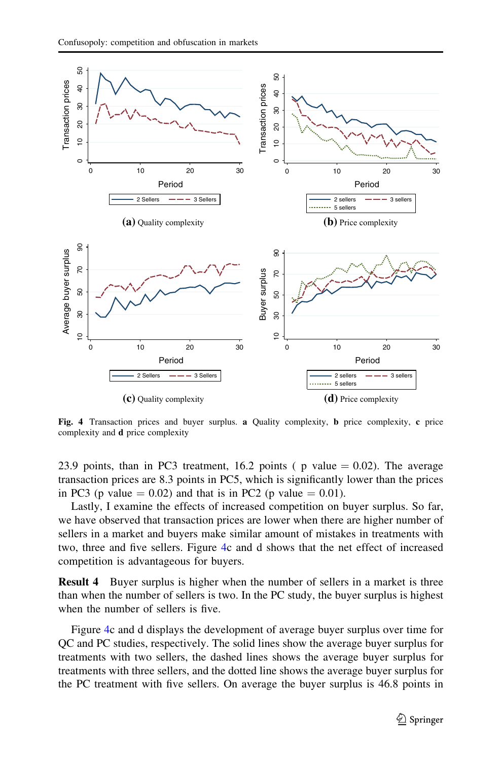<span id="page-14-0"></span>

Fig. 4 Transaction prices and buyer surplus. a Quality complexity, b price complexity, c price complexity and d price complexity

23.9 points, than in PC3 treatment, 16.2 points ( $p$  value  $= 0.02$ ). The average transaction prices are 8.3 points in PC5, which is significantly lower than the prices in PC3 (p value  $= 0.02$ ) and that is in PC2 (p value  $= 0.01$ ).

Lastly, I examine the effects of increased competition on buyer surplus. So far, we have observed that transaction prices are lower when there are higher number of sellers in a market and buyers make similar amount of mistakes in treatments with two, three and five sellers. Figure 4c and d shows that the net effect of increased competition is advantageous for buyers.

Result 4 Buyer surplus is higher when the number of sellers in a market is three than when the number of sellers is two. In the PC study, the buyer surplus is highest when the number of sellers is five.

Figure 4c and d displays the development of average buyer surplus over time for QC and PC studies, respectively. The solid lines show the average buyer surplus for treatments with two sellers, the dashed lines shows the average buyer surplus for treatments with three sellers, and the dotted line shows the average buyer surplus for the PC treatment with five sellers. On average the buyer surplus is 46.8 points in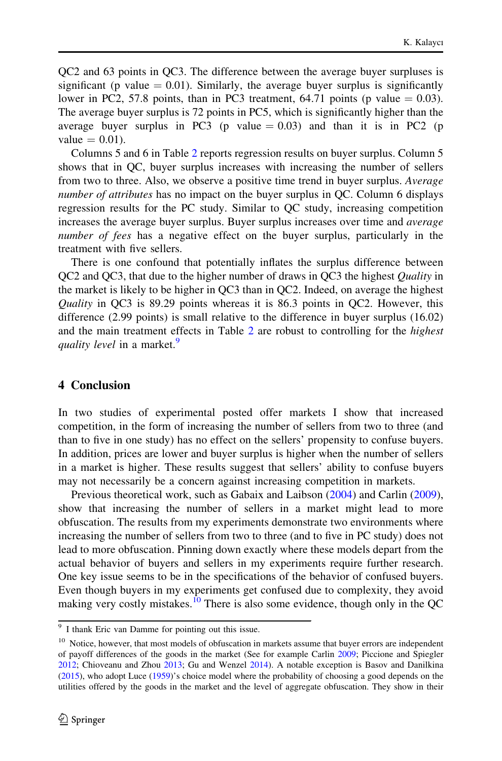QC2 and 63 points in QC3. The difference between the average buyer surpluses is significant (p value  $= 0.01$ ). Similarly, the average buyer surplus is significantly lower in PC2, 57.8 points, than in PC3 treatment, 64.71 points (p value  $= 0.03$ ). The average buyer surplus is 72 points in PC5, which is significantly higher than the average buyer surplus in PC3 (p value  $= 0.03$ ) and than it is in PC2 (p value  $= 0.01$ .

Columns 5 and 6 in Table [2](#page-9-0) reports regression results on buyer surplus. Column 5 shows that in QC, buyer surplus increases with increasing the number of sellers from two to three. Also, we observe a positive time trend in buyer surplus. Average number of attributes has no impact on the buyer surplus in OC. Column 6 displays regression results for the PC study. Similar to QC study, increasing competition increases the average buyer surplus. Buyer surplus increases over time and *average* number of fees has a negative effect on the buyer surplus, particularly in the treatment with five sellers.

There is one confound that potentially inflates the surplus difference between QC2 and QC3, that due to the higher number of draws in QC3 the highest *Quality* in the market is likely to be higher in QC3 than in QC2. Indeed, on average the highest *Quality* in  $OC3$  is 89.29 points whereas it is 86.3 points in  $OC2$ . However, this difference (2.99 points) is small relative to the difference in buyer surplus (16.02) and the main treatment effects in Table [2](#page-9-0) are robust to controlling for the highest quality level in a market.<sup>9</sup>

#### 4 Conclusion

In two studies of experimental posted offer markets I show that increased competition, in the form of increasing the number of sellers from two to three (and than to five in one study) has no effect on the sellers' propensity to confuse buyers. In addition, prices are lower and buyer surplus is higher when the number of sellers in a market is higher. These results suggest that sellers' ability to confuse buyers may not necessarily be a concern against increasing competition in markets.

Previous theoretical work, such as Gabaix and Laibson ([2004\)](#page-17-0) and Carlin ([2009\)](#page-16-0), show that increasing the number of sellers in a market might lead to more obfuscation. The results from my experiments demonstrate two environments where increasing the number of sellers from two to three (and to five in PC study) does not lead to more obfuscation. Pinning down exactly where these models depart from the actual behavior of buyers and sellers in my experiments require further research. One key issue seems to be in the specifications of the behavior of confused buyers. Even though buyers in my experiments get confused due to complexity, they avoid making very costly mistakes.<sup>10</sup> There is also some evidence, though only in the QC

<sup>9</sup> I thank Eric van Damme for pointing out this issue.

<sup>&</sup>lt;sup>10</sup> Notice, however, that most models of obfuscation in markets assume that buyer errors are independent of payoff differences of the goods in the market (See for example Carlin [2009;](#page-16-0) Piccione and Spiegler [2012;](#page-17-0) Chioveanu and Zhou [2013;](#page-17-0) Gu and Wenzel [2014\)](#page-17-0). A notable exception is Basov and Danilkina ([2015\)](#page-16-0), who adopt Luce [\(1959](#page-17-0))'s choice model where the probability of choosing a good depends on the utilities offered by the goods in the market and the level of aggregate obfuscation. They show in their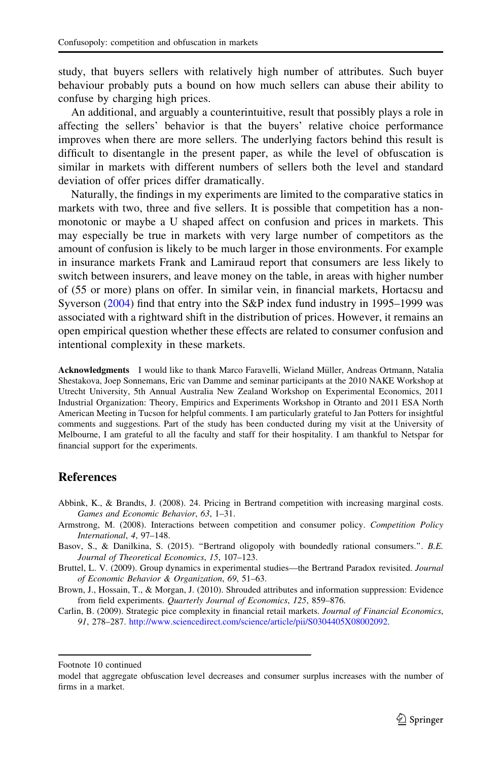<span id="page-16-0"></span>study, that buyers sellers with relatively high number of attributes. Such buyer behaviour probably puts a bound on how much sellers can abuse their ability to confuse by charging high prices.

An additional, and arguably a counterintuitive, result that possibly plays a role in affecting the sellers' behavior is that the buyers' relative choice performance improves when there are more sellers. The underlying factors behind this result is difficult to disentangle in the present paper, as while the level of obfuscation is similar in markets with different numbers of sellers both the level and standard deviation of offer prices differ dramatically.

Naturally, the findings in my experiments are limited to the comparative statics in markets with two, three and five sellers. It is possible that competition has a nonmonotonic or maybe a U shaped affect on confusion and prices in markets. This may especially be true in markets with very large number of competitors as the amount of confusion is likely to be much larger in those environments. For example in insurance markets Frank and Lamiraud report that consumers are less likely to switch between insurers, and leave money on the table, in areas with higher number of (55 or more) plans on offer. In similar vein, in financial markets, Hortacsu and Syverson [\(2004](#page-17-0)) find that entry into the S&P index fund industry in 1995–1999 was associated with a rightward shift in the distribution of prices. However, it remains an open empirical question whether these effects are related to consumer confusion and intentional complexity in these markets.

Acknowledgments I would like to thank Marco Faravelli, Wieland Müller, Andreas Ortmann, Natalia Shestakova, Joep Sonnemans, Eric van Damme and seminar participants at the 2010 NAKE Workshop at Utrecht University, 5th Annual Australia New Zealand Workshop on Experimental Economics, 2011 Industrial Organization: Theory, Empirics and Experiments Workshop in Otranto and 2011 ESA North American Meeting in Tucson for helpful comments. I am particularly grateful to Jan Potters for insightful comments and suggestions. Part of the study has been conducted during my visit at the University of Melbourne, I am grateful to all the faculty and staff for their hospitality. I am thankful to Netspar for financial support for the experiments.

# **References**

- Abbink, K., & Brandts, J. (2008). 24. Pricing in Bertrand competition with increasing marginal costs. Games and Economic Behavior, 63, 1–31.
- Armstrong, M. (2008). Interactions between competition and consumer policy. Competition Policy International, 4, 97–148.
- Basov, S., & Danilkina, S. (2015). "Bertrand oligopoly with boundedly rational consumers.". B.E. Journal of Theoretical Economics, 15, 107–123.

Bruttel, L. V. (2009). Group dynamics in experimental studies—the Bertrand Paradox revisited. Journal of Economic Behavior & Organization, 69, 51–63.

Brown, J., Hossain, T., & Morgan, J. (2010). Shrouded attributes and information suppression: Evidence from field experiments. Quarterly Journal of Economics, 125, 859–876.

Carlin, B. (2009). Strategic pice complexity in financial retail markets. Journal of Financial Economics, 91, 278–287. <http://www.sciencedirect.com/science/article/pii/S0304405X08002092>.

Footnote 10 continued

model that aggregate obfuscation level decreases and consumer surplus increases with the number of firms in a market.